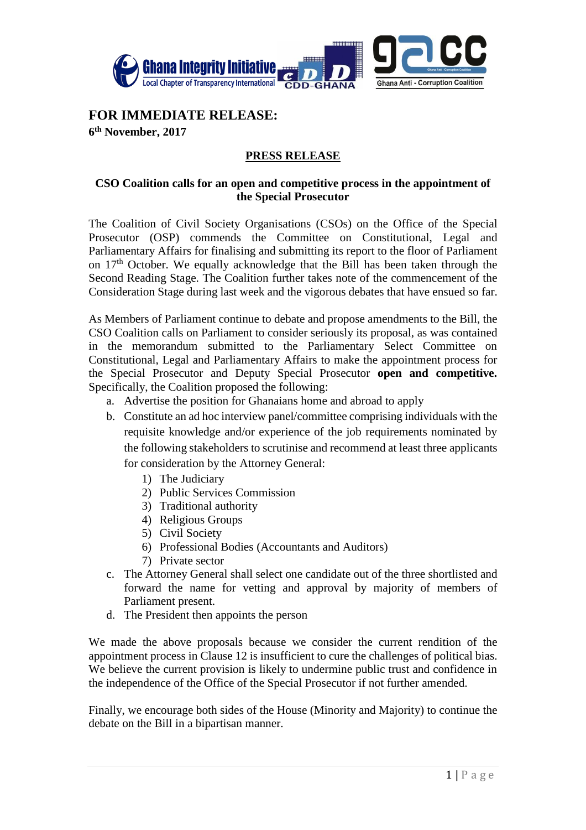

## **FOR IMMEDIATE RELEASE:**

**6 th November, 2017** 

## **PRESS RELEASE**

## **CSO Coalition calls for an open and competitive process in the appointment of the Special Prosecutor**

The Coalition of Civil Society Organisations (CSOs) on the Office of the Special Prosecutor (OSP) commends the Committee on Constitutional, Legal and Parliamentary Affairs for finalising and submitting its report to the floor of Parliament on 17th October. We equally acknowledge that the Bill has been taken through the Second Reading Stage. The Coalition further takes note of the commencement of the Consideration Stage during last week and the vigorous debates that have ensued so far.

As Members of Parliament continue to debate and propose amendments to the Bill, the CSO Coalition calls on Parliament to consider seriously its proposal, as was contained in the memorandum submitted to the Parliamentary Select Committee on Constitutional, Legal and Parliamentary Affairs to make the appointment process for the Special Prosecutor and Deputy Special Prosecutor **open and competitive.** Specifically, the Coalition proposed the following:

- a. Advertise the position for Ghanaians home and abroad to apply
- b. Constitute an ad hoc interview panel/committee comprising individuals with the requisite knowledge and/or experience of the job requirements nominated by the following stakeholders to scrutinise and recommend at least three applicants for consideration by the Attorney General:
	- 1) The Judiciary
	- 2) Public Services Commission
	- 3) Traditional authority
	- 4) Religious Groups
	- 5) Civil Society
	- 6) Professional Bodies (Accountants and Auditors)
	- 7) Private sector
- c. The Attorney General shall select one candidate out of the three shortlisted and forward the name for vetting and approval by majority of members of Parliament present.
- d. The President then appoints the person

We made the above proposals because we consider the current rendition of the appointment process in Clause 12 is insufficient to cure the challenges of political bias. We believe the current provision is likely to undermine public trust and confidence in the independence of the Office of the Special Prosecutor if not further amended.

Finally, we encourage both sides of the House (Minority and Majority) to continue the debate on the Bill in a bipartisan manner.